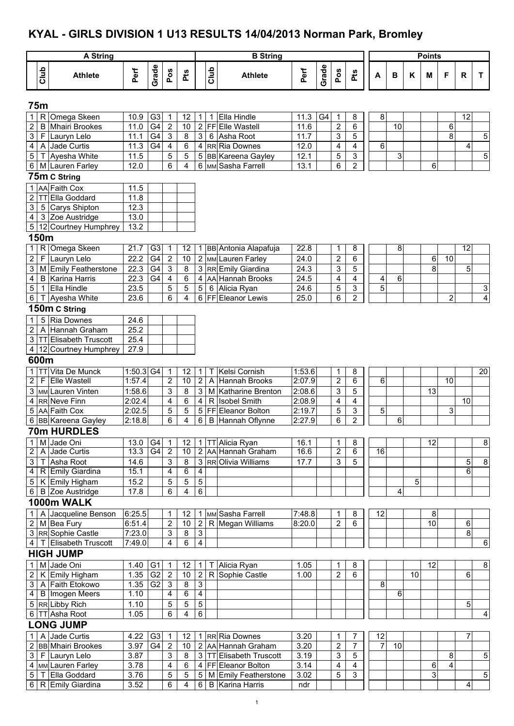# **KYAL - GIRLS DIVISION 1 U13 RESULTS 14/04/2013 Norman Park, Bromley**

|                                  |              | <b>A String</b>                          |                       |                |                           |          |                                  |      | <b>B</b> String                         |                  |                |                     |                         |                |        |    | <b>Points</b> |                |                 |                |
|----------------------------------|--------------|------------------------------------------|-----------------------|----------------|---------------------------|----------|----------------------------------|------|-----------------------------------------|------------------|----------------|---------------------|-------------------------|----------------|--------|----|---------------|----------------|-----------------|----------------|
|                                  |              |                                          |                       |                |                           |          |                                  |      |                                         |                  |                |                     |                         |                |        |    |               |                |                 |                |
|                                  | Club         | <b>Athlete</b>                           | Perf                  | Grade          | Pos                       | Pts      |                                  | Club | <b>Athlete</b>                          | Perf             | Grade          | Pos                 | Pts                     | A              | в      | Κ  | M             | F              | R               | T.             |
|                                  | <b>75m</b>   |                                          |                       |                |                           |          |                                  |      |                                         |                  |                |                     |                         |                |        |    |               |                |                 |                |
| 1 <sup>1</sup>                   | R            | Omega Skeen                              | 10.9                  | G <sub>3</sub> | 1                         | 12       | $\mathbf{1}$                     | 1    | Ella Hindle                             | 11.3             | G <sub>4</sub> | 1                   | 8                       |                | 8      |    |               |                | 12              |                |
| $\overline{2}$                   | B            | <b>Mhairi Brookes</b>                    | 11.0                  | G4             | $\sqrt{2}$                | 10       | $\mathbf{2}$                     |      | FFEIIe Wastell                          | 11.6             |                | $\overline{2}$      | 6                       |                | 10     |    |               | 6              |                 |                |
| 3 <sup>1</sup>                   | F.           | Lauryn Lelo                              | 11.1                  | G <sub>4</sub> | $\ensuremath{\mathsf{3}}$ | 8        | 3                                |      | 6 Asha Root                             | 11.7             |                | 3                   | 5                       |                |        |    |               | 8              |                 | 5              |
| $\overline{\mathbf{4}}$          | A            | Jade Curtis                              | 11.3                  | G4             | $\overline{\mathbf{4}}$   | 6        |                                  |      | 4 RR Ria Downes                         | 12.0             |                | 4                   | $\overline{\mathbf{4}}$ |                | 6      |    |               |                | 4               |                |
| $5\phantom{.0}$                  | Τ            | Ayesha White<br>6 M Lauren Farley        | 11.5<br>12.0          |                | 5<br>6                    | 5<br>4   | 6                                |      | 5 BB Kareena Gayley<br>MM Sasha Farrell | 12.1<br>13.1     |                | 5<br>6              | 3<br>$\overline{c}$     |                | 3      |    | 6             |                |                 | $\overline{5}$ |
|                                  |              | 75m C String                             |                       |                |                           |          |                                  |      |                                         |                  |                |                     |                         |                |        |    |               |                |                 |                |
|                                  |              | 1 AA Faith Cox                           |                       |                |                           |          |                                  |      |                                         |                  |                |                     |                         |                |        |    |               |                |                 |                |
|                                  |              | 2   TT Ella Goddard                      | 11.5<br>11.8          |                |                           |          |                                  |      |                                         |                  |                |                     |                         |                |        |    |               |                |                 |                |
| 3 <sup>1</sup>                   |              | 5 Carys Shipton                          | 12.3                  |                |                           |          |                                  |      |                                         |                  |                |                     |                         |                |        |    |               |                |                 |                |
| $\overline{4}$                   |              | 3 Zoe Austridge                          | 13.0                  |                |                           |          |                                  |      |                                         |                  |                |                     |                         |                |        |    |               |                |                 |                |
|                                  |              | 5 12 Courtney Humphrey                   | 13.2                  |                |                           |          |                                  |      |                                         |                  |                |                     |                         |                |        |    |               |                |                 |                |
|                                  | 150m         |                                          |                       |                |                           |          |                                  |      |                                         |                  |                |                     |                         |                |        |    |               |                |                 |                |
| 1                                | R            | Omega Skeen                              | 21.7                  | G3             | 1                         | 12       |                                  |      | 1 BB Antonia Alapafuja                  | 22.8             |                | 1                   | 8                       |                | 8      |    |               |                | $\overline{12}$ |                |
| $\overline{2}$                   | F            | Lauryn Lelo                              | 22.2                  | G4             | $\overline{c}$            | 10       |                                  |      | 2 MM Lauren Farley                      | 24.0             |                | $\overline{2}$      | 6                       |                |        |    | 6             | 10             |                 |                |
| 3 <sup>1</sup>                   |              | M Emily Featherstone                     | 22.3                  | G <sub>4</sub> | 3                         | 8        |                                  |      | 3 RR Emily Giardina                     | 24.3             |                | 3                   | 5                       |                |        |    | 8             |                | 5               |                |
| 4                                | B            | Karina Harris                            | 22.3                  | G4             | $\overline{\mathbf{4}}$   | 6        |                                  |      | 4 AA Hannah Brooks                      | 24.5             |                | 4                   | 4                       |                | 4<br>6 |    |               |                |                 |                |
| $\sqrt{5}$                       | $\mathbf{1}$ | Ella Hindle                              | 23.5                  |                | 5                         | 5        | $5\phantom{.0}$                  |      | 6 Alicia Ryan                           | 24.6             |                | 5                   | 3                       |                | 5      |    |               |                |                 | 3              |
| $6 \mid$                         | Τ            | Ayesha White                             | 23.6                  |                | 6                         | 4        |                                  |      | 6 FF Eleanor Lewis                      | 25.0             |                | 6                   | $\overline{\mathbf{c}}$ |                |        |    |               | $\overline{2}$ |                 | $\overline{4}$ |
|                                  |              | 150m C String                            |                       |                |                           |          |                                  |      |                                         |                  |                |                     |                         |                |        |    |               |                |                 |                |
| $\mathbf{1}$                     | 5            | <b>Ria Downes</b>                        | 24.6                  |                |                           |          |                                  |      |                                         |                  |                |                     |                         |                |        |    |               |                |                 |                |
| $\overline{2}$                   | A            | Hannah Graham                            | 25.2                  |                |                           |          |                                  |      |                                         |                  |                |                     |                         |                |        |    |               |                |                 |                |
|                                  |              | 3 TT Elisabeth Truscott                  | 25.4                  |                |                           |          |                                  |      |                                         |                  |                |                     |                         |                |        |    |               |                |                 |                |
|                                  |              | 4 12 Courtney Humphrey                   | 27.9                  |                |                           |          |                                  |      |                                         |                  |                |                     |                         |                |        |    |               |                |                 |                |
|                                  | 600m         |                                          |                       |                |                           |          |                                  |      |                                         |                  |                |                     |                         |                |        |    |               |                |                 |                |
| $\overline{2}$                   |              | 1 TT Vita De Munck<br>F Elle Wastell     | $1:50.3$ G4<br>1:57.4 |                | $\mathbf{1}$<br>2         | 12<br>10 | $\mathbf{1}$<br>$\overline{2}$   |      | T Kelsi Cornish<br>A Hannah Brooks      | 1:53.6<br>2:07.9 |                | 1<br>$\overline{2}$ | 8<br>6                  |                | 6      |    |               | 10             |                 | 20             |
|                                  |              | MM Lauren Vinten                         | 1:58.6                |                |                           |          | 3 <sup>1</sup>                   |      | M Katharine Brenton                     | 2:08.6           |                |                     |                         |                |        |    | 13            |                |                 |                |
| 3<br>4                           |              | RR Neve Finn                             | 2:02.4                |                | 3<br>4                    | 8<br>6   | $\overline{4}$                   |      | R Isobel Smith                          | 2:08.9           |                | 3<br>4              | 5<br>4                  |                |        |    |               |                | 10              |                |
| 5                                |              | AA Faith Cox                             | 2:02.5                |                | 5                         | 5        | 5                                |      | <b>FFIEleanor Bolton</b>                | 2:19.7           |                | 5                   | 3                       |                | 5      |    |               | 3              |                 |                |
|                                  |              | 6 BB Kareena Gayley                      | 2:18.8                |                | 6                         | 4        | 6                                |      | B Hannah Oflynne                        | 2:27.9           |                | 6                   | $\overline{2}$          |                | 6      |    |               |                |                 |                |
|                                  |              | 70m HURDLES                              |                       |                |                           |          |                                  |      |                                         |                  |                |                     |                         |                |        |    |               |                |                 |                |
| 1                                |              | M Jade Oni                               | 13.0                  | G4             | $\mathbf{1}$              | 12       | 11                               |      | TT Alicia Ryan                          | 16.1             |                | 1                   | 8                       |                |        |    | 12            |                |                 | 8              |
| $\overline{2}$                   |              | A Jade Curtis                            | 13.3                  | G4             | $\overline{2}$            | 10       |                                  |      | 2 AA Hannah Graham                      | 16.6             |                | $\overline{2}$      | 6                       | 16             |        |    |               |                |                 |                |
| 3 <sup>1</sup>                   | T.           | Asha Root                                | 14.6                  |                | 3                         | 8        |                                  |      | 3 RROlivia Williams                     | 17.7             |                | $\mathsf 3$         | $\sqrt{5}$              |                |        |    |               |                | 5               | 8              |
|                                  |              | 4   R Emily Giardina                     | 15.1                  |                | $\overline{4}$            | 6        | 4                                |      |                                         |                  |                |                     |                         |                |        |    |               |                | 6               |                |
|                                  |              | 5 K Emily Higham                         | 15.2                  |                | 5                         | 5        | $5\,$                            |      |                                         |                  |                |                     |                         |                |        | 5  |               |                |                 |                |
|                                  |              | 6 B Zoe Austridge                        | 17.8                  |                | 6                         | 4        | $\,6\,$                          |      |                                         |                  |                |                     |                         |                | 4      |    |               |                |                 |                |
|                                  |              | 1000m WALK                               |                       |                |                           |          |                                  |      |                                         |                  |                |                     |                         |                |        |    |               |                |                 |                |
| $\mathbf{1}$                     |              | Jacqueline Benson                        | 6:25.5                |                | 1                         | 12       |                                  |      | 1 MM Sasha Farrell                      | 7:48.8           |                | 1                   | 8                       | 12             |        |    | 8             |                |                 |                |
|                                  |              | 2   M Bea Fury                           | 6:51.4                |                | $\overline{c}$            | 10       | $\overline{2}$                   |      | R Megan Williams                        | 8:20.0           |                | $\overline{2}$      | 6                       |                |        |    | 10            |                | 6               |                |
|                                  |              | 3 RR Sophie Castle                       | 7:23.0                |                | $\mathbf{3}$              | 8        | $\overline{\omega}$              |      |                                         |                  |                |                     |                         |                |        |    |               |                | 8               |                |
|                                  |              | 4   T Elisabeth Truscott                 | 7:49.0                |                | 4                         | 6        | $\overline{\mathbf{4}}$          |      |                                         |                  |                |                     |                         |                |        |    |               |                |                 | $\overline{6}$ |
|                                  |              | <b>HIGH JUMP</b>                         |                       |                |                           |          |                                  |      |                                         |                  |                |                     |                         |                |        |    |               |                |                 |                |
| 1                                |              | M Jade Oni                               | 1.40 G1               |                | $\mathbf{1}$              | 12       | $\mathbf{1}$                     |      | Alicia Ryan                             | 1.05             |                | 1                   | 8                       |                |        |    | 12            |                |                 | 8              |
|                                  |              | 2   K Emily Higham                       | 1.35                  | G <sub>2</sub> | $\sqrt{2}$                | $10$     | $\overline{2}$                   |      | R Sophie Castle                         | 1.00             |                | $\overline{c}$      | 6                       |                |        | 10 |               |                | 6               |                |
| 3 <sup>1</sup><br>$\overline{4}$ |              | A Faith Etokowo<br><b>B</b> Imogen Meers | 1.35<br>1.10          | G2             | $\overline{3}$<br>4       | 8<br>6   | $\overline{3}$<br>$\overline{4}$ |      |                                         |                  |                |                     |                         |                | 8<br>6 |    |               |                |                 |                |
|                                  |              | 5 RR Libby Rich                          | 1.10                  |                | 5                         | 5        | $\mathbf 5$                      |      |                                         |                  |                |                     |                         |                |        |    |               |                | 5               |                |
|                                  |              | 6 TT Asha Root                           | 1.05                  |                | 6                         | 4        | $\,6\,$                          |      |                                         |                  |                |                     |                         |                |        |    |               |                |                 | 4              |
|                                  |              | <b>LONG JUMP</b>                         |                       |                |                           |          |                                  |      |                                         |                  |                |                     |                         |                |        |    |               |                |                 |                |
| 1 <sup>1</sup>                   |              | A Jade Curtis                            | 4.22                  | G <sub>3</sub> | $\mathbf{1}$              | 12       |                                  |      | 1 RR Ria Downes                         | 3.20             |                | 1                   | 7                       | 12             |        |    |               |                | $\overline{7}$  |                |
|                                  |              | 2 BB Mhairi Brookes                      | 3.97                  | G4             | $\sqrt{2}$                | 10       |                                  |      | 2 AA Hannah Graham                      | 3.20             |                | $\overline{2}$      | $\overline{7}$          | $\overline{7}$ | 10     |    |               |                |                 |                |
|                                  |              | 3 F Lauryn Lelo                          | 3.87                  |                | $\mathbf{3}$              | 8        |                                  |      | 3 TT Elisabeth Truscott                 | 3.19             |                | 3                   | 5                       |                |        |    |               | 8              |                 | 5              |
|                                  |              | 4 MM Lauren Farley                       | 3.78                  |                | $\overline{\mathbf{4}}$   | 6        |                                  |      | 4   FF   Eleanor Bolton                 | 3.14             |                | 4                   | 4                       |                |        |    | 6             | 4              |                 |                |
| 5 <sup>1</sup>                   |              | T Ella Goddard                           | 3.76                  |                | 5                         | 5        | 5 <sup>1</sup>                   |      | M Emily Featherstone                    | 3.02             |                | 5                   | 3                       |                |        |    | 3             |                |                 | $\overline{5}$ |
|                                  |              | 6 R Emily Giardina                       | 3.52                  |                | $\,6\,$                   | 4        | $6 \overline{6}$                 |      | <b>B</b> Karina Harris                  | ndr              |                |                     |                         |                |        |    |               |                | 4               |                |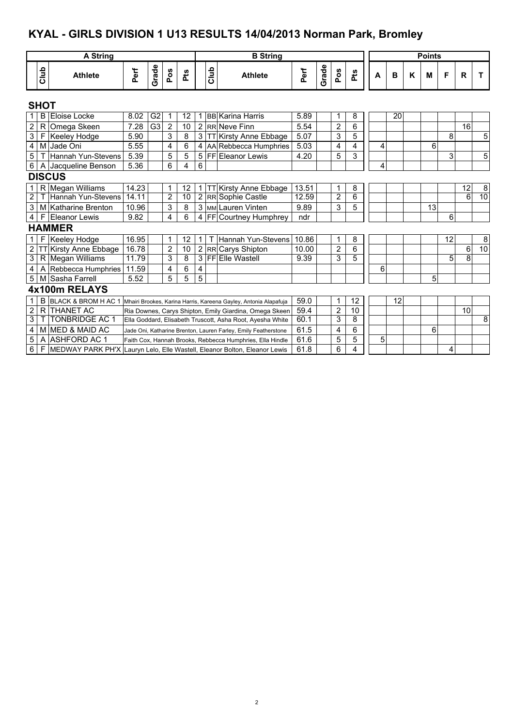# **KYAL - GIRLS DIVISION 1 U13 RESULTS 14/04/2013 Norman Park, Bromley**

|                         |             | <b>A String</b>                                                           |       |                                                                |                |            |                |      | <b>B</b> String                                                  |       |       |                         |     |   |    |   | <b>Points</b> |    |                |    |
|-------------------------|-------------|---------------------------------------------------------------------------|-------|----------------------------------------------------------------|----------------|------------|----------------|------|------------------------------------------------------------------|-------|-------|-------------------------|-----|---|----|---|---------------|----|----------------|----|
|                         | Club        | <b>Athlete</b>                                                            | Perf  | Grade                                                          | Pos            | <b>Pts</b> |                | Club | <b>Athlete</b>                                                   | Perf  | Grade | Pos                     | Pts | A | в  | K | М             | F  | R              | Т  |
|                         | <b>SHOT</b> |                                                                           |       |                                                                |                |            |                |      |                                                                  |       |       |                         |     |   |    |   |               |    |                |    |
|                         | B           | Eloise Locke                                                              | 8.02  | G2                                                             |                | 12         |                |      | <b>BB</b> Karina Harris                                          | 5.89  |       | 1                       | 8   |   | 20 |   |               |    |                |    |
| $\sqrt{2}$              | R           | Omega Skeen                                                               | 7.28  | G <sub>3</sub>                                                 | $\overline{2}$ | 10         |                |      | 2 RR Neve Finn                                                   | 5.54  |       | $\overline{2}$          | 6   |   |    |   |               |    | 16             |    |
| $\overline{3}$          | F           | Keeley Hodge                                                              | 5.90  |                                                                | 3              | 8          | 3              |      | <b>TT</b> Kirsty Anne Ebbage                                     | 5.07  |       | 3                       | 5   |   |    |   |               | 8  |                | 5  |
| $\overline{\mathbf{4}}$ | M           | Jade Oni                                                                  | 5.55  |                                                                | 4              | 6          |                |      | 4 AA Rebbecca Humphries                                          | 5.03  |       | $\overline{\mathbf{4}}$ | 4   | 4 |    |   | 6             |    |                |    |
| 5                       |             | Hannah Yun-Stevens                                                        | 5.39  |                                                                | 5              | 5          |                |      | 5 FF Eleanor Lewis                                               | 4.20  |       | 5                       | 3   |   |    |   |               | 3  |                | 5  |
| $6\phantom{.}$          | A           | Jacqueline Benson                                                         | 5.36  |                                                                | 6              | 4          | 6              |      |                                                                  |       |       |                         |     | 4 |    |   |               |    |                |    |
|                         |             | <b>DISCUS</b>                                                             |       |                                                                |                |            |                |      |                                                                  |       |       |                         |     |   |    |   |               |    |                |    |
| $1 \mid$                |             | R Megan Williams                                                          | 14.23 |                                                                | 1              | 12         | 1 <sup>1</sup> |      | T Kirsty Anne Ebbage                                             | 13.51 |       | 1                       | 8   |   |    |   |               |    | 12             | 8  |
| $\overline{2}$          |             | Hannah Yun-Stevens                                                        | 14.11 |                                                                | $\overline{2}$ | 10         |                |      | 2 RR Sophie Castle                                               | 12.59 |       | $\overline{2}$          | 6   |   |    |   |               |    | $\overline{6}$ | 10 |
| $\sqrt{3}$              |             | M Katharine Brenton                                                       | 10.96 |                                                                | 3              | 8          |                |      | 3 MM Lauren Vinten                                               | 9.89  |       | 3                       | 5   |   |    |   | 13            |    |                |    |
| $\overline{4}$          | F           | Eleanor Lewis                                                             | 9.82  |                                                                | 4              | 6          |                |      | 4 FF Courtney Humphrey                                           | ndr   |       |                         |     |   |    |   |               | 6  |                |    |
|                         |             | <b>HAMMER</b>                                                             |       |                                                                |                |            |                |      |                                                                  |       |       |                         |     |   |    |   |               |    |                |    |
| $\mathbf{1}$            | F           | <b>Keeley Hodge</b>                                                       | 16.95 |                                                                | 1              | 12         | 1.             |      | Hannah Yun-Stevens                                               | 10.86 |       | 1                       | 8   |   |    |   |               | 12 |                | 8  |
| $\overline{2}$          |             | Kirsty Anne Ebbage                                                        | 16.78 |                                                                | $\overline{2}$ | 10         |                |      | 2 RR Carys Shipton                                               | 10.00 |       | $\overline{2}$          | 6   |   |    |   |               |    | 6              | 10 |
| $\overline{3}$          |             | R Megan Williams                                                          | 11.79 |                                                                | 3              | 8          |                |      | 3 FFEILE Wastell                                                 | 9.39  |       | 3                       | 5   |   |    |   |               | 5  | $\overline{8}$ |    |
| $\overline{\mathbf{4}}$ | A           | Rebbecca Humphries                                                        | 11.59 |                                                                | 4              | 6          | 4              |      |                                                                  |       |       |                         |     | 6 |    |   |               |    |                |    |
| $5\phantom{.0}$         | м           | Sasha Farrell                                                             | 5.52  |                                                                | 5              | 5          | 5              |      |                                                                  |       |       |                         |     |   |    |   | 5             |    |                |    |
|                         |             | 4x100m RELAYS                                                             |       |                                                                |                |            |                |      |                                                                  |       |       |                         |     |   |    |   |               |    |                |    |
| $\mathbf{1}$            | B           | <b>BLACK &amp; BROM H AC 1</b>                                            |       |                                                                |                |            |                |      | Mhairi Brookes, Karina Harris, Kareena Gayley, Antonia Alapafuja | 59.0  |       | 1                       | 12  |   | 12 |   |               |    |                |    |
| $\boldsymbol{2}$        | R           | <b>THANET AC</b>                                                          |       |                                                                |                |            |                |      | Ria Downes, Carys Shipton, Emily Giardina, Omega Skeen           | 59.4  |       | $\overline{2}$          | 10  |   |    |   |               |    | 10             |    |
| $\overline{3}$          |             | <b>TONBRIDGE AC 1</b>                                                     |       |                                                                |                |            |                |      | Ella Goddard, Elisabeth Truscott, Asha Root, Ayesha White        | 60.1  |       | 3                       | 8   |   |    |   |               |    |                | 8  |
| $\overline{4}$          |             | M MED & MAID AC                                                           |       | Jade Oni, Katharine Brenton, Lauren Farley, Emily Featherstone |                |            |                |      |                                                                  | 61.5  |       | 4                       | 6   |   |    |   | 6             |    |                |    |
| 5                       | A           | IASHFORD AC 1                                                             |       |                                                                |                |            |                |      | Faith Cox, Hannah Brooks, Rebbecca Humphries, Ella Hindle        | 61.6  |       | 5                       | 5   | 5 |    |   |               |    |                |    |
| $6\phantom{1}$          | F           | MEDWAY PARK PH'X Lauryn Lelo, Elle Wastell, Eleanor Bolton, Eleanor Lewis |       |                                                                |                |            |                |      |                                                                  | 61.8  |       | 6                       | 4   |   |    |   |               | 4  |                |    |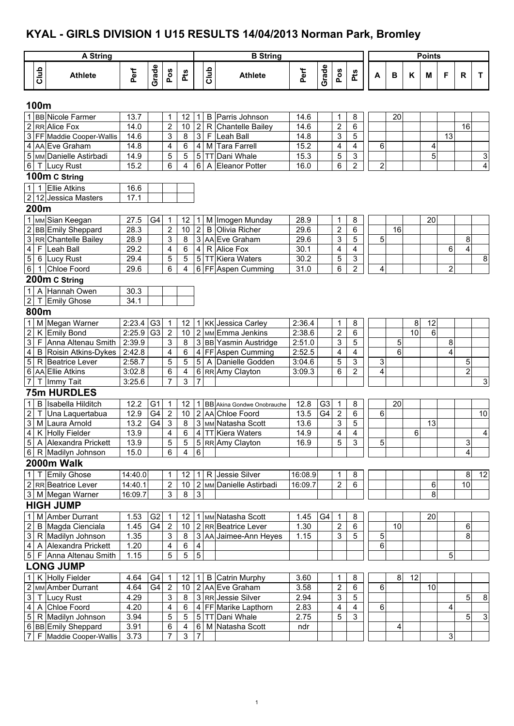# **KYAL - GIRLS DIVISION 1 U15 RESULTS 14/04/2013 Norman Park, Bromley**

|                           |                | A String                       |         |                |                  |                |                |                | <b>B</b> String              |         |                |                         |                |                |                 |                 | <b>Points</b> |                |                           |                |
|---------------------------|----------------|--------------------------------|---------|----------------|------------------|----------------|----------------|----------------|------------------------------|---------|----------------|-------------------------|----------------|----------------|-----------------|-----------------|---------------|----------------|---------------------------|----------------|
|                           | Club           | <b>Athlete</b>                 | Perf    | Grade          | Pos              | Pts            |                | Club           | <b>Athlete</b>               | Perf    | Grade          | Pos                     | Pts            | A              | В               | Κ               | M             | F              | R                         | T              |
|                           | 100m           |                                |         |                |                  |                |                |                |                              |         |                |                         |                |                |                 |                 |               |                |                           |                |
| $\mathbf{1}$              |                | <b>BB</b> Nicole Farmer        | 13.7    |                | 1                | 12             | 11             | B              | Parris Johnson               | 14.6    |                | 1                       | 8              |                | 20              |                 |               |                |                           |                |
|                           |                | 2 RR Alice Fox                 | 14.0    |                | $\overline{2}$   | 10             | $\overline{2}$ | $\mathsf{R}$   | Chantelle Bailey             | 14.6    |                | $\overline{\mathbf{c}}$ | $\,6$          |                |                 |                 |               |                | 16                        |                |
| $\mathbf{3}$              |                | <b>FF</b> Maddie Cooper-Wallis | 14.6    |                | 3                | 8              | $\overline{3}$ | $\mathsf{F}$   | Leah Ball                    | 14.8    |                | 3                       | 5              |                |                 |                 |               | 13             |                           |                |
| 4                         |                | AA Eve Graham                  | 14.8    |                | 4                | 6              |                |                | 4 M Tara Farrell             | 15.2    |                | 4                       | 4              | 6              |                 |                 | 4             |                |                           |                |
|                           |                | 5 MM Danielle Astirbadi        | 14.9    |                | 5                | 5              |                | $5$ TT         | Dani Whale                   | 15.3    |                | 5                       | 3              |                |                 |                 | 5             |                |                           | $\overline{3}$ |
|                           |                | 6 T Lucy Rust                  | 15.2    |                | 6                | 4              | 6 <sup>1</sup> | $\overline{A}$ | Eleanor Potter               | 16.0    |                | 6                       | $\overline{2}$ | $\overline{c}$ |                 |                 |               |                |                           | $\overline{4}$ |
|                           |                | 100m C String                  |         |                |                  |                |                |                |                              |         |                |                         |                |                |                 |                 |               |                |                           |                |
| 1                         | $\mathbf{1}$   | <b>Ellie Atkins</b>            | 16.6    |                |                  |                |                |                |                              |         |                |                         |                |                |                 |                 |               |                |                           |                |
|                           |                | 2 12 Jessica Masters           | 17.1    |                |                  |                |                |                |                              |         |                |                         |                |                |                 |                 |               |                |                           |                |
|                           | 200m           |                                |         |                |                  |                |                |                |                              |         |                |                         |                |                |                 |                 |               |                |                           |                |
|                           |                | 1 MM Sian Keegan               | 27.5    | G4             | $\mathbf 1$      | 12             | 1              |                | M Imogen Munday              | 28.9    |                | 1                       | 8              |                |                 |                 | 20            |                |                           |                |
| $\boldsymbol{2}$          |                | <b>BB</b> Emily Sheppard       | 28.3    |                | $\overline{c}$   | 10             | $\overline{2}$ | B              | Olivia Richer                | 29.6    |                | $\overline{2}$          | 6              |                | $\overline{16}$ |                 |               |                |                           |                |
| 3                         |                | RR Chantelle Bailey            | 28.9    |                | 3                | 8              |                |                | 3 AA Eve Graham              | 29.6    |                | 3                       | $\overline{5}$ | 5              |                 |                 |               |                | 8                         |                |
| $\overline{\mathbf{4}}$   | $\mathsf F$    | Leah Ball                      | 29.2    |                | 4                | 6              |                |                | $\overline{4 R}$ Alice Fox   | 30.1    |                | 4                       | 4              |                |                 |                 |               | 6              | $\overline{4}$            |                |
| $\,$ 5 $\,$               |                | 6 Lucy Rust                    | 29.4    |                | 5                | 5              |                |                | 5 TT Kiera Waters            | 30.2    |                | 5                       | $\mathfrak{S}$ |                |                 |                 |               |                |                           | $\infty$       |
| $6\,$                     | $\mathbf 1$    | Chloe Foord                    | 29.6    |                | 6                | 4              |                |                | 6 FF Aspen Cumming           | 31.0    |                | 6                       | $\overline{2}$ | 4              |                 |                 |               | $\overline{2}$ |                           |                |
|                           |                | 200m C String                  |         |                |                  |                |                |                |                              |         |                |                         |                |                |                 |                 |               |                |                           |                |
| $\mathbf 1$               | $\overline{A}$ | Hannah Owen                    | 30.3    |                |                  |                |                |                |                              |         |                |                         |                |                |                 |                 |               |                |                           |                |
|                           |                | 2 T Emily Ghose                | 34.1    |                |                  |                |                |                |                              |         |                |                         |                |                |                 |                 |               |                |                           |                |
|                           | 800m           |                                |         |                |                  |                |                |                |                              |         |                |                         |                |                |                 |                 |               |                |                           |                |
| 1                         |                | M Megan Warner                 | 2:23.4  | G3             | $\mathbf{1}$     | 12             |                |                | 1 KK Jessica Carley          | 2:36.4  |                | 1                       | 8              |                |                 | 8               | 12            |                |                           |                |
| $\overline{2}$            | K              | <b>Emily Bond</b>              | 2:25.9  | G <sub>3</sub> | $\mathbf 2$      | 10             |                |                | 2 MM Emma Jenkins            | 2:38.6  |                | $\mathbf 2$             | 6              |                |                 | $\overline{10}$ | $6\,$         |                |                           |                |
| 3                         |                | F Anna Altenau Smith           | 2:39.9  |                | 3                | 8              |                |                | 3 BB Yasmin Austridge        | 2:51.0  |                | 3                       | 5              |                | 5               |                 |               | 8              |                           |                |
| $\overline{4}$            |                | <b>B</b> Roisin Atkins-Dykes   | 2:42.8  |                | 4                | 6              |                |                | 4 FF Aspen Cumming           | 2:52.5  |                | 4                       | 4              |                | 6               |                 |               | 4              |                           |                |
| 5                         |                | R Beatrice Lever               | 2:58.7  |                | 5                | 5              | 5 <sup>1</sup> |                | A Danielle Godden            | 3:04.6  |                | 5                       | 3              | 3              |                 |                 |               |                | 5                         |                |
| 6                         |                | AA Ellie Atkins                | 3:02.8  |                | 6                | 4              |                |                | 6 RR Amy Clayton             | 3:09.3  |                | 6                       | $\overline{2}$ | 4              |                 |                 |               |                | $\overline{2}$            |                |
| 7                         | т              | Immy Tait                      | 3:25.6  |                | $\overline{7}$   | 3              | 7              |                |                              |         |                |                         |                |                |                 |                 |               |                |                           | 3              |
|                           |                | <b>75m HURDLES</b>             |         |                |                  |                |                |                |                              |         |                |                         |                |                |                 |                 |               |                |                           |                |
| $\mathbf{1}$              | B              | Isabella Hilditch              | 12.2    | G <sub>1</sub> | $\mathbf 1$      | 12             |                |                | 1 BB Akina Gondwe Onobrauche | 12.8    | G <sub>3</sub> | 1                       | 8              |                | 20              |                 |               |                |                           |                |
| $\mathbf 2$               | т              | Una Laquertabua                | 12.9    | G4             | $\overline{2}$   | 10             |                |                | 2 AA Chloe Foord             | 13.5    | G4             | $\overline{2}$          | 6              | 6              |                 |                 |               |                |                           | 10             |
| $\ensuremath{\mathsf{3}}$ |                | M Laura Arnold                 | 13.2    | G4             | 3                | 8              |                |                | 3 MM Natasha Scott           | 13.6    |                | 3                       | 5              |                |                 |                 | 13            |                |                           |                |
|                           |                | 4 K Holly Fielder              | 13.9    |                | $\overline{4}$   | $\overline{6}$ |                |                | 4 TT Kiera Waters            | 14.9    |                | 4                       | $\overline{4}$ |                |                 | 6               |               |                |                           | 4 <sub>1</sub> |
|                           |                | 5   A Alexandra Prickett       | 13.9    |                | 5                | $\sqrt{5}$     |                |                | 5 RR Amy Clayton             | 16.9    |                | 5                       | $\overline{3}$ | 5              |                 |                 |               |                | $\ensuremath{\mathsf{3}}$ |                |
|                           |                | 6 R Madilyn Johnson            | 15.0    |                | 6                | $\overline{4}$ | 6              |                |                              |         |                |                         |                |                |                 |                 |               |                | 4                         |                |
|                           |                | 2000m Walk                     |         |                |                  |                |                |                |                              |         |                |                         |                |                |                 |                 |               |                |                           |                |
|                           |                | 1   T Emily Ghose              | 14:40.0 |                | 1                | 12             |                |                | 1 R Jessie Silver            | 16:08.9 |                | 1                       | 8              |                |                 |                 |               |                | 8                         | 12             |
|                           |                | 2 RR Beatrice Lever            | 14:40.1 |                | $\boldsymbol{2}$ | 10             |                |                | 2 MM Danielle Astirbadi      | 16:09.7 |                | $\overline{\mathbf{c}}$ | 6              |                |                 |                 | 6             |                | 10                        |                |
|                           |                | 3 M Megan Warner               | 16:09.7 |                | 3                | 8              | $\mathfrak{S}$ |                |                              |         |                |                         |                |                |                 |                 | 8             |                |                           |                |
|                           |                | <b>HIGH JUMP</b>               |         |                |                  |                |                |                |                              |         |                |                         |                |                |                 |                 |               |                |                           |                |
| $\mathbf{1}$              |                | M Amber Durrant                | 1.53    | G <sub>2</sub> | -1               | 12             |                |                | 1 MM Natasha Scott           | 1.45    | G4             | 1                       | 8              |                |                 |                 | 20            |                |                           |                |
| $\sqrt{2}$                |                | B Magda Cienciala              | 1.45    | G4             | $\overline{2}$   | 10             |                |                | 2 RR Beatrice Lever          | 1.30    |                | $\overline{c}$          | 6              |                | 10              |                 |               |                | 6                         |                |
| $\mathbf{3}$              |                | R Madilyn Johnson              | 1.35    |                | 3                | 8              |                |                | 3 AA Jaimee-Ann Heyes        | 1.15    |                | 3                       | 5              | 5              |                 |                 |               |                | 8                         |                |
|                           |                | 4 A Alexandra Prickett         | 1.20    |                | 4                | $\,6\,$        | $\overline{4}$ |                |                              |         |                |                         |                | $\overline{6}$ |                 |                 |               |                |                           |                |
|                           |                | 5 F Anna Altenau Smith         | 1.15    |                | 5                | 5              | $\overline{5}$ |                |                              |         |                |                         |                |                |                 |                 |               | 5              |                           |                |
|                           |                | <b>LONG JUMP</b>               |         |                |                  |                |                |                |                              |         |                |                         |                |                |                 |                 |               |                |                           |                |
| $\mathbf{1}$              |                | K Holly Fielder                | 4.64    | G4             | -1               | 12             |                | $1 \mid B$     | Catrin Murphy                | 3.60    |                | 1                       | 8              |                | $\bf 8$         | 12              |               |                |                           |                |
| $\overline{2}$            |                | MM Amber Durrant               | 4.64    | G4             | $\overline{c}$   | 10             |                |                | 2 AA Eve Graham              | 3.58    |                | $\boldsymbol{2}$        | 6              | 6              |                 |                 | 10            |                |                           |                |
| $\mathbf{3}$              |                | T Lucy Rust                    | 4.29    |                | 3                | 8              |                |                | 3 RR Jessie Silver           | 2.94    |                | 3                       | 5              |                |                 |                 |               |                | 5                         | 8              |
| $\overline{\mathbf{4}}$   |                | A Chloe Foord                  | 4.20    |                | 4                | 6              |                |                | 4 FF Marike Lapthorn         | 2.83    |                | 4                       | 4              | 6              |                 |                 |               | 4              |                           |                |
| $\overline{5}$            |                | R Madilyn Johnson              | 3.94    |                | 5                | 5              |                |                | 5 TT Dani Whale              | 2.75    |                | 5                       | $\mathbf{3}$   |                |                 |                 |               |                | 5 <sup>1</sup>            | $\mathbf{3}$   |
|                           |                | 6 BB Emily Sheppard            | 3.91    |                | 6                | 4              |                |                | 6 M Natasha Scott            | ndr     |                |                         |                |                | 4               |                 |               |                |                           |                |
| $\boldsymbol{7}$          |                | F Maddie Cooper-Wallis         | 3.73    |                | $\overline{7}$   | 3              | $\overline{7}$ |                |                              |         |                |                         |                |                |                 |                 |               | 3              |                           |                |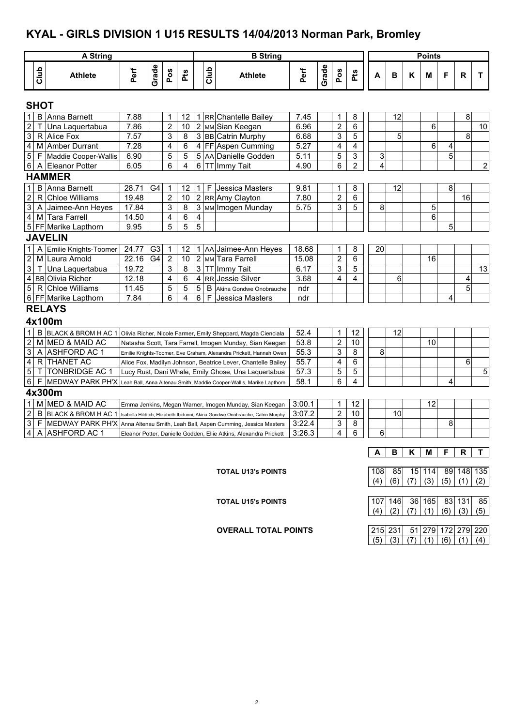### **KYAL - GIRLS DIVISION 1 U15 RESULTS 14/04/2013 Norman Park, Bromley**

|                                                                                                                                                                                                                                                                                                                                                                                                                                                                                                                                                                                                                                                                                                                                                                                                                                                                                                                                                                                                                                                                                                                                                                                                                                                                                                                                                                                                                                                                                                                  |        | <b>A String</b>         |      |       |     |            |   |             | <b>B</b> String                                                      |        |       |              |     | <b>Points</b> |    |   |    |   |    |                |  |
|------------------------------------------------------------------------------------------------------------------------------------------------------------------------------------------------------------------------------------------------------------------------------------------------------------------------------------------------------------------------------------------------------------------------------------------------------------------------------------------------------------------------------------------------------------------------------------------------------------------------------------------------------------------------------------------------------------------------------------------------------------------------------------------------------------------------------------------------------------------------------------------------------------------------------------------------------------------------------------------------------------------------------------------------------------------------------------------------------------------------------------------------------------------------------------------------------------------------------------------------------------------------------------------------------------------------------------------------------------------------------------------------------------------------------------------------------------------------------------------------------------------|--------|-------------------------|------|-------|-----|------------|---|-------------|----------------------------------------------------------------------|--------|-------|--------------|-----|---------------|----|---|----|---|----|----------------|--|
|                                                                                                                                                                                                                                                                                                                                                                                                                                                                                                                                                                                                                                                                                                                                                                                                                                                                                                                                                                                                                                                                                                                                                                                                                                                                                                                                                                                                                                                                                                                  | Club   | <b>Athlete</b>          | Perf | Grade | Pos | <b>Pts</b> |   | <b>Club</b> | <b>Athlete</b>                                                       | Perf   | Grade | Pos          | Pts | A             | в  | ĸ | м  | F | R  | T              |  |
|                                                                                                                                                                                                                                                                                                                                                                                                                                                                                                                                                                                                                                                                                                                                                                                                                                                                                                                                                                                                                                                                                                                                                                                                                                                                                                                                                                                                                                                                                                                  |        |                         |      |       |     |            |   |             |                                                                      |        |       |              |     |               |    |   |    |   |    |                |  |
|                                                                                                                                                                                                                                                                                                                                                                                                                                                                                                                                                                                                                                                                                                                                                                                                                                                                                                                                                                                                                                                                                                                                                                                                                                                                                                                                                                                                                                                                                                                  |        |                         | 7.88 |       | 1   | 12         | 1 |             |                                                                      | 7.45   |       | $\mathbf{1}$ | 8   |               |    |   |    |   | 8  |                |  |
| <b>SHOT</b><br>$\mathbf{1}$<br><b>B</b> Anna Barnett<br>12<br>RR Chantelle Bailey<br>$\overline{2}$<br>6<br>$\overline{2}$<br>2 MM Sian Keegan<br>$\overline{c}$<br>6<br>Τ<br>Una Laquertabua<br>7.86<br>10<br>6.96<br>$\overline{3}$<br>3<br>3 BB Catrin Murphy<br>5<br>R Alice Fox<br>7.57<br>8<br>3<br>5<br>6.68<br>$\overline{4}$<br>$\overline{4}$<br>7.28<br>4<br>5.27<br>6<br>M Amber Durrant<br>6<br>4 FF Aspen Cumming<br>$\overline{4}$<br>4<br>$\overline{5}$<br>3<br>5<br>5<br>5<br>5 AA Danielle Godden<br>5<br>5.11<br>3<br>F<br>Maddie Cooper-Wallis<br>6.90<br>$\overline{2}$<br>6<br>4<br>6 TT Immy Tait<br>6<br>4<br>$6 \mid$<br>A Eleanor Potter<br>6.05<br>4.90<br><b>HAMMER</b><br>$\mathbf{1}$<br>8<br>B<br>Anna Barnett<br>28.71<br>G4<br>12<br>F<br>Jessica Masters<br>9.81<br>1<br>8<br>12<br>1<br>1<br>$\overline{2}$<br>$\mathsf{R}$<br><b>Chloe Williams</b><br>$\overline{2}$<br>2 RR Amy Clayton<br>19.48<br>10<br>7.80<br>$\overline{2}$<br>6<br>$\mathbf{3}$<br>3 MM Imogen Munday<br>5<br>5<br>A Jaimee-Ann Heyes<br>17.84<br>3<br>8<br>5.75<br>8<br>3<br>$\overline{4}$<br>4<br>6<br>M Tara Farrell<br>14.50<br>4<br>6<br>5<br>5<br>5<br>5<br>5 FF Marike Lapthorn<br>9.95<br><b>JAVELIN</b><br>$\mathbf 1$<br>A<br>Emilie Knights-Toomer<br>24.77<br>G <sub>3</sub><br>AA Jaimee-Ann Heyes<br>$\mathbf 1$<br>8<br>20<br>1<br>12<br>18.68<br>1<br>M Laura Arnold<br>22.16<br>G <sub>4</sub><br>$\overline{2}$<br>2 MM Tara Farrell<br>$\overline{c}$<br>6<br>10<br>16<br>15.08 |        |                         |      |       |     |            |   |             |                                                                      |        |       |              |     |               | 10 |   |    |   |    |                |  |
|                                                                                                                                                                                                                                                                                                                                                                                                                                                                                                                                                                                                                                                                                                                                                                                                                                                                                                                                                                                                                                                                                                                                                                                                                                                                                                                                                                                                                                                                                                                  |        |                         |      |       |     |            |   |             |                                                                      |        |       |              |     |               |    |   |    |   |    |                |  |
|                                                                                                                                                                                                                                                                                                                                                                                                                                                                                                                                                                                                                                                                                                                                                                                                                                                                                                                                                                                                                                                                                                                                                                                                                                                                                                                                                                                                                                                                                                                  |        |                         |      |       |     |            |   |             |                                                                      |        |       |              |     |               |    |   |    |   |    |                |  |
|                                                                                                                                                                                                                                                                                                                                                                                                                                                                                                                                                                                                                                                                                                                                                                                                                                                                                                                                                                                                                                                                                                                                                                                                                                                                                                                                                                                                                                                                                                                  |        |                         |      |       |     |            |   |             |                                                                      |        |       |              |     |               |    |   |    |   |    |                |  |
|                                                                                                                                                                                                                                                                                                                                                                                                                                                                                                                                                                                                                                                                                                                                                                                                                                                                                                                                                                                                                                                                                                                                                                                                                                                                                                                                                                                                                                                                                                                  |        |                         |      |       |     |            |   |             |                                                                      |        |       |              |     |               |    |   |    |   |    | $\overline{2}$ |  |
|                                                                                                                                                                                                                                                                                                                                                                                                                                                                                                                                                                                                                                                                                                                                                                                                                                                                                                                                                                                                                                                                                                                                                                                                                                                                                                                                                                                                                                                                                                                  |        |                         |      |       |     |            |   |             |                                                                      |        |       |              |     |               |    |   |    |   |    |                |  |
| $\frac{2}{3}$<br>3<br>8<br>$\mathsf 3$<br>3<br>5<br>Una Laquertabua<br>19.72<br><b>TT Immy Tait</b><br>6.17<br>$\mathsf{T}$<br>4 BB Olivia Richer<br>$\overline{4}$<br>12.18<br>4<br>6<br>4<br>RR Jessie Silver<br>3.68<br>4<br>6<br>$\mathfrak{S}$<br>5<br>5<br>5<br>R Chloe Williams<br>11.45<br>B<br>ndr<br>Akina Gondwe Onobrauche<br>7.84<br>6<br>4<br>6<br>4<br>6 FF Marike Lapthorn<br>F<br>Jessica Masters<br>ndr<br><b>RELAYS</b>                                                                                                                                                                                                                                                                                                                                                                                                                                                                                                                                                                                                                                                                                                                                                                                                                                                                                                                                                                                                                                                                       |        |                         |      |       |     |            |   |             |                                                                      |        |       |              |     |               |    |   |    |   |    |                |  |
|                                                                                                                                                                                                                                                                                                                                                                                                                                                                                                                                                                                                                                                                                                                                                                                                                                                                                                                                                                                                                                                                                                                                                                                                                                                                                                                                                                                                                                                                                                                  |        |                         |      |       |     |            |   |             |                                                                      |        |       |              |     |               |    |   |    |   | 16 |                |  |
|                                                                                                                                                                                                                                                                                                                                                                                                                                                                                                                                                                                                                                                                                                                                                                                                                                                                                                                                                                                                                                                                                                                                                                                                                                                                                                                                                                                                                                                                                                                  |        |                         |      |       |     |            |   |             |                                                                      |        |       |              |     |               |    |   |    |   |    |                |  |
|                                                                                                                                                                                                                                                                                                                                                                                                                                                                                                                                                                                                                                                                                                                                                                                                                                                                                                                                                                                                                                                                                                                                                                                                                                                                                                                                                                                                                                                                                                                  |        |                         |      |       |     |            |   |             |                                                                      |        |       |              |     |               |    |   |    |   |    |                |  |
|                                                                                                                                                                                                                                                                                                                                                                                                                                                                                                                                                                                                                                                                                                                                                                                                                                                                                                                                                                                                                                                                                                                                                                                                                                                                                                                                                                                                                                                                                                                  |        |                         |      |       |     |            |   |             |                                                                      |        |       |              |     |               |    |   |    |   |    |                |  |
|                                                                                                                                                                                                                                                                                                                                                                                                                                                                                                                                                                                                                                                                                                                                                                                                                                                                                                                                                                                                                                                                                                                                                                                                                                                                                                                                                                                                                                                                                                                  |        |                         |      |       |     |            |   |             |                                                                      |        |       |              |     |               |    |   |    |   |    |                |  |
| 8<br>4<br>5<br>4x100m                                                                                                                                                                                                                                                                                                                                                                                                                                                                                                                                                                                                                                                                                                                                                                                                                                                                                                                                                                                                                                                                                                                                                                                                                                                                                                                                                                                                                                                                                            |        |                         |      |       |     |            |   |             |                                                                      |        |       |              |     |               |    |   |    |   |    |                |  |
| $\mathbf{1}$<br>B BLACK & BROM H AC 1<br>12<br>12<br>52.4<br>1<br>Olivia Richer, Nicole Farmer, Emily Sheppard, Magda Cienciala<br>10<br>2<br>M MED & MAID AC<br>$\overline{2}$<br>10<br>53.8<br>Natasha Scott, Tara Farrell, Imogen Munday, Sian Keegan                                                                                                                                                                                                                                                                                                                                                                                                                                                                                                                                                                                                                                                                                                                                                                                                                                                                                                                                                                                                                                                                                                                                                                                                                                                         |        |                         |      |       |     |            |   |             |                                                                      |        |       |              |     |               |    |   |    |   |    |                |  |
|                                                                                                                                                                                                                                                                                                                                                                                                                                                                                                                                                                                                                                                                                                                                                                                                                                                                                                                                                                                                                                                                                                                                                                                                                                                                                                                                                                                                                                                                                                                  |        |                         |      |       |     |            |   |             |                                                                      |        |       |              |     |               |    |   |    |   |    | 13             |  |
|                                                                                                                                                                                                                                                                                                                                                                                                                                                                                                                                                                                                                                                                                                                                                                                                                                                                                                                                                                                                                                                                                                                                                                                                                                                                                                                                                                                                                                                                                                                  |        |                         |      |       |     |            |   |             |                                                                      |        |       |              |     |               |    |   |    |   |    |                |  |
|                                                                                                                                                                                                                                                                                                                                                                                                                                                                                                                                                                                                                                                                                                                                                                                                                                                                                                                                                                                                                                                                                                                                                                                                                                                                                                                                                                                                                                                                                                                  |        |                         |      |       |     |            |   |             |                                                                      |        |       |              |     |               |    |   |    |   |    |                |  |
|                                                                                                                                                                                                                                                                                                                                                                                                                                                                                                                                                                                                                                                                                                                                                                                                                                                                                                                                                                                                                                                                                                                                                                                                                                                                                                                                                                                                                                                                                                                  |        |                         |      |       |     |            |   |             |                                                                      |        |       |              |     |               |    |   |    |   |    |                |  |
|                                                                                                                                                                                                                                                                                                                                                                                                                                                                                                                                                                                                                                                                                                                                                                                                                                                                                                                                                                                                                                                                                                                                                                                                                                                                                                                                                                                                                                                                                                                  |        |                         |      |       |     |            |   |             |                                                                      |        |       |              |     |               |    |   |    |   |    |                |  |
|                                                                                                                                                                                                                                                                                                                                                                                                                                                                                                                                                                                                                                                                                                                                                                                                                                                                                                                                                                                                                                                                                                                                                                                                                                                                                                                                                                                                                                                                                                                  |        |                         |      |       |     |            |   |             |                                                                      |        |       |              |     |               |    |   |    |   |    |                |  |
|                                                                                                                                                                                                                                                                                                                                                                                                                                                                                                                                                                                                                                                                                                                                                                                                                                                                                                                                                                                                                                                                                                                                                                                                                                                                                                                                                                                                                                                                                                                  |        |                         |      |       |     |            |   |             |                                                                      |        |       |              |     |               |    |   |    |   |    |                |  |
|                                                                                                                                                                                                                                                                                                                                                                                                                                                                                                                                                                                                                                                                                                                                                                                                                                                                                                                                                                                                                                                                                                                                                                                                                                                                                                                                                                                                                                                                                                                  |        |                         |      |       |     |            |   |             |                                                                      |        |       |              |     |               |    |   |    |   |    |                |  |
| $\mathbf{3}$                                                                                                                                                                                                                                                                                                                                                                                                                                                                                                                                                                                                                                                                                                                                                                                                                                                                                                                                                                                                                                                                                                                                                                                                                                                                                                                                                                                                                                                                                                     |        | A ASHFORD AC 1          |      |       |     |            |   |             | Emilie Knights-Toomer, Eve Graham, Alexandra Prickett, Hannah Owen   | 55.3   |       | 3            | 8   | 8             |    |   |    |   |    |                |  |
| $\overline{4}$                                                                                                                                                                                                                                                                                                                                                                                                                                                                                                                                                                                                                                                                                                                                                                                                                                                                                                                                                                                                                                                                                                                                                                                                                                                                                                                                                                                                                                                                                                   |        | R THANET AC             |      |       |     |            |   |             | Alice Fox, Madilyn Johnson, Beatrice Lever, Chantelle Bailey         | 55.7   |       | 4            | 6   |               |    |   |    |   | 6  |                |  |
| $\,$ 5 $\,$                                                                                                                                                                                                                                                                                                                                                                                                                                                                                                                                                                                                                                                                                                                                                                                                                                                                                                                                                                                                                                                                                                                                                                                                                                                                                                                                                                                                                                                                                                      | $\top$ | <b>TONBRIDGE AC 1</b>   |      |       |     |            |   |             | Lucy Rust, Dani Whale, Emily Ghose, Una Laguertabua                  | 57.3   |       | 5            | 5   |               |    |   |    |   |    | 5              |  |
| $\,$ 6 $\,$                                                                                                                                                                                                                                                                                                                                                                                                                                                                                                                                                                                                                                                                                                                                                                                                                                                                                                                                                                                                                                                                                                                                                                                                                                                                                                                                                                                                                                                                                                      | F      | <b>MEDWAY PARK PH'X</b> |      |       |     |            |   |             | Leah Ball, Anna Altenau Smith, Maddie Cooper-Wallis, Marike Lapthorn | 58.1   |       | 6            | 4   |               |    |   |    | 4 |    |                |  |
|                                                                                                                                                                                                                                                                                                                                                                                                                                                                                                                                                                                                                                                                                                                                                                                                                                                                                                                                                                                                                                                                                                                                                                                                                                                                                                                                                                                                                                                                                                                  |        | 4x300m                  |      |       |     |            |   |             |                                                                      |        |       |              |     |               |    |   |    |   |    |                |  |
| $\mathbf{1}$                                                                                                                                                                                                                                                                                                                                                                                                                                                                                                                                                                                                                                                                                                                                                                                                                                                                                                                                                                                                                                                                                                                                                                                                                                                                                                                                                                                                                                                                                                     |        | M MED & MAID AC         |      |       |     |            |   |             |                                                                      | 3:00.1 |       | 1            | 12  |               |    |   | 12 |   |    |                |  |
| Emma Jenkins, Megan Warner, Imogen Munday, Sian Keegan<br>$\overline{2}$<br>$\overline{2}$<br>10<br>10<br>B BLACK & BROM H AC 1 Isabella Hilditch, Elizabeth Ibidunni, Akina Gondwe Onobrauche, Catrin Murphy<br>3:07.2                                                                                                                                                                                                                                                                                                                                                                                                                                                                                                                                                                                                                                                                                                                                                                                                                                                                                                                                                                                                                                                                                                                                                                                                                                                                                          |        |                         |      |       |     |            |   |             |                                                                      |        |       |              |     |               |    |   |    |   |    |                |  |
| $\overline{\omega}$                                                                                                                                                                                                                                                                                                                                                                                                                                                                                                                                                                                                                                                                                                                                                                                                                                                                                                                                                                                                                                                                                                                                                                                                                                                                                                                                                                                                                                                                                              | F      | MEDWAY PARK PH'X        |      |       |     |            |   |             | Anna Altenau Smith, Leah Ball, Aspen Cumming, Jessica Masters        | 3:22.4 |       | 3            | 8   |               |    |   |    | 8 |    |                |  |
| $\overline{4}$                                                                                                                                                                                                                                                                                                                                                                                                                                                                                                                                                                                                                                                                                                                                                                                                                                                                                                                                                                                                                                                                                                                                                                                                                                                                                                                                                                                                                                                                                                   | A      | <b>ASHFORD AC 1</b>     |      |       |     |            |   |             | Eleanor Potter, Danielle Godden, Ellie Atkins, Alexandra Prickett    | 3:26.3 |       | 4            | 6   | 6             |    |   |    |   |    |                |  |
|                                                                                                                                                                                                                                                                                                                                                                                                                                                                                                                                                                                                                                                                                                                                                                                                                                                                                                                                                                                                                                                                                                                                                                                                                                                                                                                                                                                                                                                                                                                  |        |                         |      |       |     |            |   |             |                                                                      |        |       |              |     |               |    |   |    |   |    |                |  |
|                                                                                                                                                                                                                                                                                                                                                                                                                                                                                                                                                                                                                                                                                                                                                                                                                                                                                                                                                                                                                                                                                                                                                                                                                                                                                                                                                                                                                                                                                                                  |        |                         |      |       |     |            |   |             |                                                                      |        |       |              |     | А             | в  | κ | M  | F | R  | T.             |  |
|                                                                                                                                                                                                                                                                                                                                                                                                                                                                                                                                                                                                                                                                                                                                                                                                                                                                                                                                                                                                                                                                                                                                                                                                                                                                                                                                                                                                                                                                                                                  |        |                         |      |       |     |            |   |             |                                                                      |        |       |              |     |               |    |   |    |   |    |                |  |

#### **TOTAL U13's POINTS** 108 108 85 15 114 89 148 135

**TOTAL U15's POINTS** 107 146 36 165 83 131 85  $(4)$   $(2)$   $(7)$   $(1)$   $(6)$   $(3)$   $(5)$ 

 $(4)$   $(6)$   $(7)$   $(3)$   $(5)$   $(1)$   $(2)$ 

**OVERALL TOTAL POINTS** 215 231 51 279 172 279 220  $(5) (3) (7) (1) (6) (1) (4)$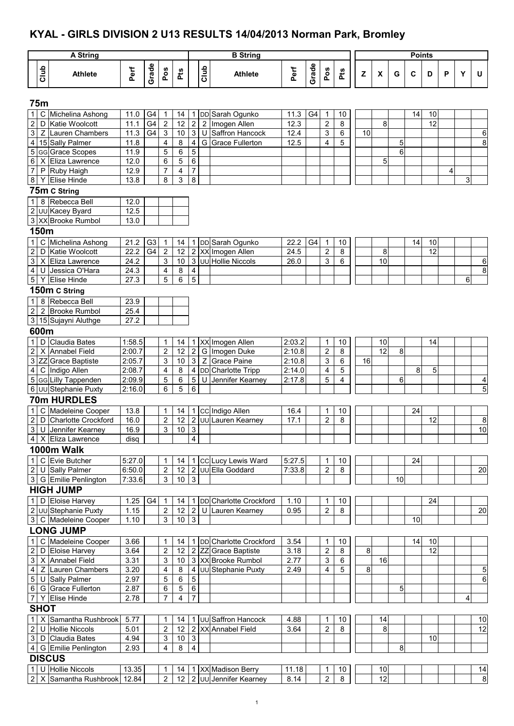### **KYAL - GIRLS DIVISION 2 U13 RESULTS 14/04/2013 Norman Park, Bromley**

|                                  |             | <b>A String</b>                         |              |                      |                               |                       |                                  |      | <b>B</b> String                           |                  |       |                                  |                |              |                           |    | <b>Points</b> |          |   |   |                |
|----------------------------------|-------------|-----------------------------------------|--------------|----------------------|-------------------------------|-----------------------|----------------------------------|------|-------------------------------------------|------------------|-------|----------------------------------|----------------|--------------|---------------------------|----|---------------|----------|---|---|----------------|
|                                  | Club        | <b>Athlete</b>                          | Perf         | Grade                | Pos                           | <b>Pts</b>            |                                  | Club | <b>Athlete</b>                            | Perf             | Grade | Pos                              | Pts            | $\mathsf{z}$ | $\boldsymbol{\mathsf{x}}$ | G  | C             | D        | P | Y | U              |
|                                  |             |                                         |              |                      |                               |                       |                                  |      |                                           |                  |       |                                  |                |              |                           |    |               |          |   |   |                |
|                                  | 75m         |                                         |              |                      |                               |                       |                                  |      |                                           |                  |       |                                  |                |              |                           |    |               |          |   |   |                |
| $\mathbf{1}$<br>$\boldsymbol{2}$ |             | C Michelina Ashong<br>D Katie Woolcott  | 11.0<br>11.1 | G4<br>G <sub>4</sub> | $\mathbf 1$<br>$\overline{2}$ | 14<br>12              | 2                                | 2    | 1 DD Sarah Ogunko<br>Imogen Allen         | 11.3<br>12.3     | G4    | $\mathbf{1}$<br>$\boldsymbol{2}$ | 10<br>$\bf 8$  |              | 8                         |    | 14            | 10<br>12 |   |   |                |
| $\overline{3}$                   |             | Z Lauren Chambers                       | 11.3         | G4                   | 3                             | $10$                  |                                  | 3 U  | Saffron Hancock                           | 12.4             |       | 3                                | $\,6\,$        | 10           |                           |    |               |          |   |   | 6              |
| $\overline{4}$                   |             | 15 Sally Palmer                         | 11.8         |                      | 4                             | 8                     | $\overline{\mathbf{4}}$          | G    | <b>Grace Fullerton</b>                    | 12.5             |       | $\overline{4}$                   | 5              |              |                           | 5  |               |          |   |   | 8              |
|                                  |             | 5 GG Grace Scopes                       | 11.9         |                      | 5                             | 6                     | 5                                |      |                                           |                  |       |                                  |                |              |                           | 6  |               |          |   |   |                |
| 6                                |             | X Eliza Lawrence                        | 12.0         |                      | 6                             | 5                     | $\,6\,$                          |      |                                           |                  |       |                                  |                |              | 5                         |    |               |          |   |   |                |
| $\overline{7}$                   |             | P Ruby Haigh                            | 12.9         |                      | 7                             | 4                     | $\overline{7}$                   |      |                                           |                  |       |                                  |                |              |                           |    |               |          | 4 |   |                |
|                                  |             | 8 Y Elise Hinde                         | 13.8         |                      | 8                             | 3                     | $\overline{8}$                   |      |                                           |                  |       |                                  |                |              |                           |    |               |          |   | 3 |                |
|                                  |             | 75m C String                            |              |                      |                               |                       |                                  |      |                                           |                  |       |                                  |                |              |                           |    |               |          |   |   |                |
| 1                                | 8           | Rebecca Bell                            | 12.0         |                      |                               |                       |                                  |      |                                           |                  |       |                                  |                |              |                           |    |               |          |   |   |                |
|                                  |             | 2 UU Kacey Byard                        | 12.5         |                      |                               |                       |                                  |      |                                           |                  |       |                                  |                |              |                           |    |               |          |   |   |                |
|                                  |             | 3 XX Brooke Rumbol                      | 13.0         |                      |                               |                       |                                  |      |                                           |                  |       |                                  |                |              |                           |    |               |          |   |   |                |
|                                  | 150m        |                                         |              |                      |                               |                       |                                  |      |                                           |                  |       |                                  |                |              |                           |    |               |          |   |   |                |
| $\mathbf{1}$                     |             | C Michelina Ashong                      | 21.2         | G <sub>3</sub>       | $\mathbf{1}$                  | 14                    |                                  |      | 1 DD Sarah Ogunko                         | 22.2             | G4    | 1                                | 10             |              |                           |    | 14            | 10       |   |   |                |
| $\overline{2}$                   |             | D Katie Woolcott                        | 22.2         | G4                   | $\sqrt{2}$                    | 12                    |                                  |      | 2 XX Imogen Allen                         | 24.5             |       | $\boldsymbol{2}$                 | 8              |              | 8                         |    |               | 12       |   |   |                |
| $\mathbf{3}$                     |             | X Eliza Lawrence                        | 24.2         |                      | 3                             | $10$                  |                                  |      | 3 JUU Hollie Niccols                      | 26.0             |       | 3                                | 6              |              | 10                        |    |               |          |   |   | $\,6$          |
| $\overline{4}$                   |             | U Jessica O'Hara                        | 24.3         |                      | 4                             | 8                     | $\overline{4}$<br>$\overline{5}$ |      |                                           |                  |       |                                  |                |              |                           |    |               |          |   |   | $\overline{8}$ |
| $5\phantom{.0}$                  |             | Y Elise Hinde                           | 27.3         |                      | 5                             | 6                     |                                  |      |                                           |                  |       |                                  |                |              |                           |    |               |          |   | 6 |                |
|                                  |             | 150m C String                           |              |                      |                               |                       |                                  |      |                                           |                  |       |                                  |                |              |                           |    |               |          |   |   |                |
| $\mathbf{1}$                     |             | 8 Rebecca Bell                          | 23.9         |                      |                               |                       |                                  |      |                                           |                  |       |                                  |                |              |                           |    |               |          |   |   |                |
| $\overline{2}$                   |             | 2 Brooke Rumbol<br>3 15 Sujayni Aluthge | 25.4<br>27.2 |                      |                               |                       |                                  |      |                                           |                  |       |                                  |                |              |                           |    |               |          |   |   |                |
|                                  | 600m        |                                         |              |                      |                               |                       |                                  |      |                                           |                  |       |                                  |                |              |                           |    |               |          |   |   |                |
| 1                                |             | D Claudia Bates                         | 1:58.5       |                      |                               |                       |                                  |      |                                           |                  |       |                                  |                |              |                           |    |               |          |   |   |                |
| $\overline{2}$                   |             | X Annabel Field                         | 2:00.7       |                      | 1<br>$\overline{\mathbf{c}}$  | 14<br>12              |                                  |      | 1 XX Imogen Allen<br>2 G Imogen Duke      | 2:03.2<br>2:10.8 |       | $\mathbf{1}$<br>$\overline{2}$   | 10<br>$\bf 8$  |              | 10<br>12                  | 8  |               | 14       |   |   |                |
|                                  |             | 3 ZZ Grace Baptiste                     | 2:05.7       |                      | 3                             | 10                    |                                  | 3Z   | Grace Paine                               | 2:10.8           |       | $\mathsf 3$                      | 6              | 16           |                           |    |               |          |   |   |                |
| 4 <sup>1</sup>                   |             | C Indigo Allen                          | 2:08.7       |                      | 4                             | 8                     |                                  |      | 4 DD Charlotte Tripp                      | 2:14.0           |       | 4                                | 5              |              |                           |    | 8             | 5        |   |   |                |
|                                  |             | 5 GG Lilly Tappenden                    | 2:09.9       |                      | 5                             | 6                     | 5 <sup>5</sup>                   | U    | Jennifer Kearney                          | 2:17.8           |       | 5                                | $\overline{4}$ |              |                           | 6  |               |          |   |   | 4              |
|                                  |             | 6 UU Stephanie Puxty                    | 2:16.0       |                      | 6                             | 5                     | 6                                |      |                                           |                  |       |                                  |                |              |                           |    |               |          |   |   | 5              |
|                                  |             | <b>70m HURDLES</b>                      |              |                      |                               |                       |                                  |      |                                           |                  |       |                                  |                |              |                           |    |               |          |   |   |                |
| 1                                |             | C Madeleine Cooper                      | 13.8         |                      | 1                             | 14                    |                                  |      | 1 CC Indigo Allen                         | 16.4             |       | 1                                | 10             |              |                           |    | 24            |          |   |   |                |
| $\overline{c}$                   |             | D Charlotte Crockford                   | 16.0         |                      | $\boldsymbol{2}$              | 12                    |                                  |      | 2 UU Lauren Kearney                       | 17.1             |       | $\overline{c}$                   | 8              |              |                           |    |               | 12       |   |   | 8              |
|                                  |             | 3 U Jennifer Kearney                    | 16.9         |                      | $\overline{3}$                | $10 \mid 3$           |                                  |      |                                           |                  |       |                                  |                |              |                           |    |               |          |   |   | 10             |
|                                  |             | 4 X Eliza Lawrence                      | disa         |                      |                               |                       | $\overline{4}$                   |      |                                           |                  |       |                                  |                |              |                           |    |               |          |   |   |                |
|                                  |             | 1000m Walk                              |              |                      |                               |                       |                                  |      |                                           |                  |       |                                  |                |              |                           |    |               |          |   |   |                |
|                                  |             | 1 C Evie Butcher                        | 5:27.0       |                      | 1                             | 14                    |                                  |      | 1 CC Lucy Lewis Ward                      | 5:27.5           |       | 1                                | 10             |              |                           |    | 24            |          |   |   |                |
|                                  |             | 2 U Sally Palmer                        | 6.50.0       |                      | 2                             | 12                    |                                  |      | 2 JUU Ella Goddard                        | 7:33.8           |       | $\overline{c}$                   | 8              |              |                           |    |               |          |   |   | 20             |
|                                  |             | 3 G Emilie Penlington                   | 7:33.6       |                      | 3                             | 10 <sup>°</sup>       | $\mathbf{3}$                     |      |                                           |                  |       |                                  |                |              |                           | 10 |               |          |   |   |                |
|                                  |             | <b>HIGH JUMP</b>                        |              |                      |                               |                       |                                  |      |                                           |                  |       |                                  |                |              |                           |    |               |          |   |   |                |
|                                  |             | 1 D Eloise Harvey                       | 1.25         | G4                   | $\mathbf{1}$                  | 14                    |                                  |      | 1 DD Charlotte Crockford                  | 1.10             |       | 1                                | 10             |              |                           |    |               | 24       |   |   |                |
|                                  |             | 2 UU Stephanie Puxty                    | 1.15         |                      | $\sqrt{2}$<br>3               | 12<br>10              | $\mathbf{3}$                     |      | 2 U Lauren Kearney                        | 0.95             |       | $\boldsymbol{2}$                 | 8              |              |                           |    |               |          |   |   | 20             |
|                                  |             | 3 C Madeleine Cooper                    | 1.10         |                      |                               |                       |                                  |      |                                           |                  |       |                                  |                |              |                           |    | 10            |          |   |   |                |
|                                  |             | <b>LONG JUMP</b>                        |              |                      |                               |                       |                                  |      |                                           |                  |       |                                  |                |              |                           |    |               |          |   |   |                |
| 1                                |             | C Madeleine Cooper                      | 3.66         |                      | 1                             | 14                    |                                  |      | 1 DD Charlotte Crockford                  | 3.54             |       | 1                                | 10             |              |                           |    | 14            | 10<br>12 |   |   |                |
| $2 \mid$                         |             | D Eloise Harvey<br>3 X Annabel Field    | 3.64<br>3.31 |                      | 2<br>3                        | 12<br>10 <sup>1</sup> |                                  |      | 2 ZZ Grace Baptiste<br>3 XX Brooke Rumbol | 3.18<br>2.77     |       | $\boldsymbol{2}$<br>3            | 8<br>6         | 8            | 16                        |    |               |          |   |   |                |
|                                  |             | 4 Z Lauren Chambers                     | 3.20         |                      | 4                             | 8                     |                                  |      | 4 UU Stephanie Puxty                      | 2.49             |       | 4                                | 5              | 8            |                           |    |               |          |   |   | 5              |
|                                  |             | 5 U Sally Palmer                        | 2.97         |                      | 5                             | 6                     | $5\phantom{.0}$                  |      |                                           |                  |       |                                  |                |              |                           |    |               |          |   |   | 6              |
|                                  |             | 6 G Grace Fullerton                     | 2.87         |                      | 6                             | 5                     | $\,6\,$                          |      |                                           |                  |       |                                  |                |              |                           | 5  |               |          |   |   |                |
|                                  |             | 7 Y Elise Hinde                         | 2.78         |                      | 7                             | 4                     | $\overline{7}$                   |      |                                           |                  |       |                                  |                |              |                           |    |               |          |   | 4 |                |
|                                  | <b>SHOT</b> |                                         |              |                      |                               |                       |                                  |      |                                           |                  |       |                                  |                |              |                           |    |               |          |   |   |                |
|                                  |             | 1 X Samantha Rushbrook                  | 5.77         |                      | 1                             | 14                    |                                  |      | 1 UU Saffron Hancock                      | 4.88             |       | 1                                | 10             |              | 14                        |    |               |          |   |   | 10             |
|                                  |             | 2 U Hollie Niccols                      | 5.01         |                      | 2                             | 12                    |                                  |      | 2 XX Annabel Field                        | 3.64             |       | $\overline{2}$                   | 8              |              | 8                         |    |               |          |   |   | 12             |
|                                  |             | 3 D Claudia Bates                       | 4.94         |                      | 3                             | 10                    | $\mathbf{3}$                     |      |                                           |                  |       |                                  |                |              |                           |    |               | 10       |   |   |                |
|                                  |             | 4 G Emilie Penlington                   | 2.93         |                      | 4                             | 8                     | $\overline{4}$                   |      |                                           |                  |       |                                  |                |              |                           | 8  |               |          |   |   |                |
|                                  |             | <b>DISCUS</b>                           |              |                      |                               |                       |                                  |      |                                           |                  |       |                                  |                |              |                           |    |               |          |   |   |                |
|                                  |             | $\boxed{1}$ U Hollie Niccols            | 13.35        |                      | 1                             | 14                    |                                  |      | 1 XX Madison Berry                        | 11.18            |       | 1                                | 10             |              | 10                        |    |               |          |   |   | 14             |
|                                  |             | 2 X Samantha Rushbrook 12.84            |              |                      | $\overline{2}$                |                       |                                  |      | 12 2 UU Jennifer Kearney                  | 8.14             |       | $\overline{2}$                   | $\,8\,$        |              | $\overline{12}$           |    |               |          |   |   | 8              |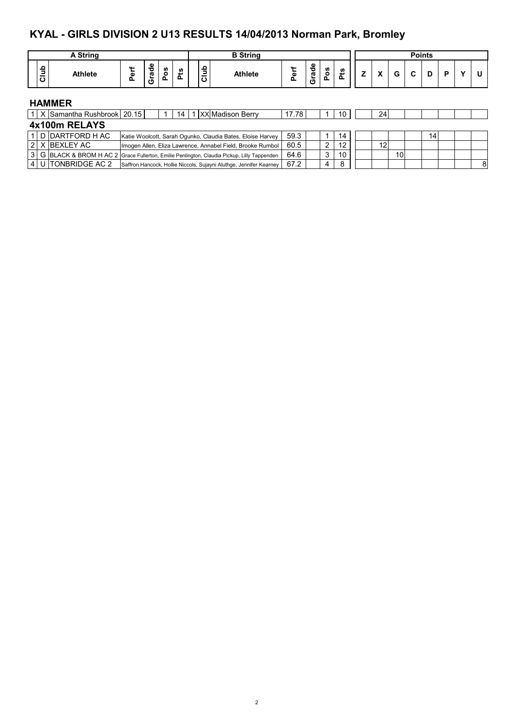### **KYAL - GIRLS DIVISION 2 U13 RESULTS 14/04/2013 Norman Park, Bromley**

|      | A String                         |      |       |     |    |              | <b>B</b> String                                            |         |       |     |    |    |   |   | <b>Points</b> |   |   |
|------|----------------------------------|------|-------|-----|----|--------------|------------------------------------------------------------|---------|-------|-----|----|----|---|---|---------------|---|---|
| Club | <b>Athlete</b>                   | Perf | Grade | Pos | ដំ | ٩t<br>-<br>ပ | <b>Athlete</b>                                             | ξ<br>o. | Grade | Pos | ℒ  |    | G | C | D             | P | U |
|      | <b>HAMMER</b>                    |      |       |     |    |              |                                                            |         |       |     |    |    |   |   |               |   |   |
|      | 1   X Samantha Rushbrook   20.15 |      |       |     | 14 |              | <b>XX</b> Madison Berry                                    | 17.78   |       |     | 10 | 24 |   |   |               |   |   |
|      | 4x100m RELAYS                    |      |       |     |    |              |                                                            |         |       |     |    |    |   |   |               |   |   |
|      | 1 D DARTFORD H AC                |      |       |     |    |              | Katie Woolcott, Sarah Ogunko, Claudia Bates, Eloise Harvey | 59.3    |       |     | 14 |    |   |   | 14            |   |   |

|  | 1 I D IDARTFORD H AC | Katie Woolcott, Sarah Ogunko, Claudia Bates, Eloise Harvey                                  | 59.3 |   | 14 I            |  |    |     | 14. |  |  |
|--|----------------------|---------------------------------------------------------------------------------------------|------|---|-----------------|--|----|-----|-----|--|--|
|  | 2   X   BEXLEY AC    | Imogen Allen, Eliza Lawrence, Annabel Field, Brooke Rumbol                                  | 60.5 |   | 12 <sup>1</sup> |  | 12 |     |     |  |  |
|  |                      | 3 G BLACK & BROM H AC 2 Grace Fullerton, Emilie Penlington, Claudia Pickup, Lilly Tappenden | 64.6 |   | 10 <sup>1</sup> |  |    | 101 |     |  |  |
|  | 4 U TONBRIDGE AC 2   | Saffron Hancock, Hollie Niccols, Sujayni Aluthge, Jennifer Kearney                          | 67.2 | 4 |                 |  |    |     |     |  |  |
|  |                      |                                                                                             |      |   |                 |  |    |     |     |  |  |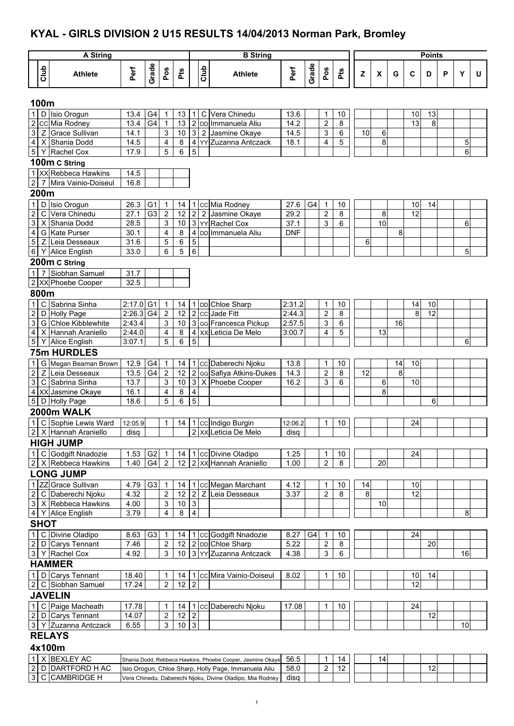### **KYAL - GIRLS DIVISION 2 U15 RESULTS 14/04/2013 Norman Park, Bromley**

|                                  |                                                                                                                                        | A String                              |                       |                |                                 |                 |                           |      | <b>B</b> String                                  |              |                |                                        |         |                 |                 |         |    | <b>Points</b>   |   |    |   |
|----------------------------------|----------------------------------------------------------------------------------------------------------------------------------------|---------------------------------------|-----------------------|----------------|---------------------------------|-----------------|---------------------------|------|--------------------------------------------------|--------------|----------------|----------------------------------------|---------|-----------------|-----------------|---------|----|-----------------|---|----|---|
|                                  |                                                                                                                                        |                                       |                       |                |                                 |                 |                           |      |                                                  |              |                |                                        |         |                 |                 |         |    |                 |   |    |   |
|                                  | Club                                                                                                                                   | <b>Athlete</b>                        | Perf                  | Grade          | Pos                             | Pts             |                           | Club | <b>Athlete</b>                                   | Perf         | Grade          | Pos                                    | Pts     | Z               | X               | G       | C  | D               | P | Y  | U |
|                                  |                                                                                                                                        |                                       |                       |                |                                 |                 |                           |      |                                                  |              |                |                                        |         |                 |                 |         |    |                 |   |    |   |
| $\mathbf{1}$                     | 100m                                                                                                                                   | D Isio Orogun                         | 13.4                  | G4             | $\mathbf 1$                     | 13              |                           |      | C Vera Chinedu                                   | 13.6         |                | $\mathbf{1}$                           | 10      |                 |                 |         | 10 | 13              |   |    |   |
| $\sqrt{2}$                       |                                                                                                                                        | cc Mia Rodney                         | 13.4                  | G4             | $\mathbf{1}$                    | 13              | 1 <sub>1</sub>            |      | 2 DD Immanuela Aliu                              | 14.2         |                | $\overline{c}$                         | 8       |                 |                 |         | 13 | 8               |   |    |   |
| 3                                | Z                                                                                                                                      | <b>Grace Sullivan</b>                 | 14.1                  |                | 3                               | 10              |                           |      | 3 2 Jasmine Okaye                                | 14.5         |                | 3                                      | 6       | 10              | 6               |         |    |                 |   |    |   |
| $\overline{4}$                   |                                                                                                                                        | X Shania Dodd                         | 14.5                  |                | 4                               | 8               |                           |      | 4 YY Zuzanna Antczack                            | 18.1         |                | 4                                      | 5       |                 | 8               |         |    |                 |   | 5  |   |
| $\,$ 5 $\,$                      |                                                                                                                                        | Y Rachel Cox                          | 17.9                  |                | 5                               | 6               | 5                         |      |                                                  |              |                |                                        |         |                 |                 |         |    |                 |   | 6  |   |
|                                  |                                                                                                                                        | 100m C String                         |                       |                |                                 |                 |                           |      |                                                  |              |                |                                        |         |                 |                 |         |    |                 |   |    |   |
|                                  |                                                                                                                                        | 1 XX Rebbeca Hawkins                  | 14.5                  |                |                                 |                 |                           |      |                                                  |              |                |                                        |         |                 |                 |         |    |                 |   |    |   |
| $\overline{c}$                   | 7                                                                                                                                      | Mira Vainio-Doiseul                   | 16.8                  |                |                                 |                 |                           |      |                                                  |              |                |                                        |         |                 |                 |         |    |                 |   |    |   |
|                                  | 200m                                                                                                                                   |                                       |                       |                |                                 |                 |                           |      |                                                  |              |                |                                        |         |                 |                 |         |    |                 |   |    |   |
| $\mathbf{1}$                     | D                                                                                                                                      | Isio Orogun                           | 26.3                  | G <sub>1</sub> | 1                               | 14              | 1                         |      | cc Mia Rodney                                    | 27.6         | G4             | $\overline{1}$                         | 10      |                 |                 |         | 10 | 14              |   |    |   |
| $\boldsymbol{2}$                 | C                                                                                                                                      | Vera Chinedu                          | 27.1                  | G <sub>3</sub> | $\boldsymbol{2}$                | 12              | $\overline{c}$            |      | 2 Jasmine Okaye                                  | 29.2         |                | $\overline{2}$                         | 8       |                 | 8               |         | 12 |                 |   |    |   |
| $\overline{3}$                   |                                                                                                                                        | X Shania Dodd                         | 28.5                  |                | 3                               | 10              |                           |      | 3 YY Rachel Cox                                  | 37.1         |                | 3                                      | 6       |                 | $\overline{10}$ |         |    |                 |   | 6  |   |
| $\overline{4}$                   |                                                                                                                                        | G Kate Purser                         | 30.1                  |                | 4                               | 8               |                           |      | 4 DD Immanuela Aliu                              | <b>DNF</b>   |                |                                        |         |                 |                 | 8       |    |                 |   |    |   |
| $\overline{5}$                   | Z<br>5<br>5<br>Leia Desseaux<br>31.6<br>6<br>6<br>6<br>5<br>33.0<br>6<br>5<br><b>Alice English</b><br>Y<br>$\overline{7}$              |                                       |                       |                |                                 |                 |                           |      |                                                  |              |                |                                        |         |                 |                 |         |    |                 |   |    |   |
| $\,6\,$                          | 200m C String<br>Siobhan Samuel<br>31.7                                                                                                |                                       |                       |                |                                 |                 |                           |      |                                                  |              |                |                                        |         |                 |                 |         |    |                 |   |    |   |
|                                  |                                                                                                                                        |                                       |                       |                |                                 |                 |                           |      |                                                  |              |                |                                        |         |                 |                 |         |    |                 |   |    |   |
| $\mathbf{1}$                     | 32.5                                                                                                                                   |                                       |                       |                |                                 |                 |                           |      |                                                  |              |                |                                        |         |                 |                 |         |    |                 |   |    |   |
|                                  |                                                                                                                                        |                                       |                       |                |                                 |                 |                           |      |                                                  |              |                |                                        |         |                 |                 |         |    |                 |   |    |   |
|                                  | Sabrina Sinha<br>C<br>2:17.0<br>G <sub>1</sub><br>DD Chloe Sharp<br>2:31.2<br>10<br>$\mathbf{1}$<br>14<br>$\mathbf 1$<br>10<br>14<br>1 |                                       |                       |                |                                 |                 |                           |      |                                                  |              |                |                                        |         |                 |                 |         |    |                 |   |    |   |
| $\mathbf{1}$                     | $\sqrt{2}$<br>8<br>$\overline{12}$<br>$2:26.3$ G4<br>$\boldsymbol{2}$<br>12<br>2 cc Jade Fitt<br>2:44.3<br>8<br>D Holly Page           |                                       |                       |                |                                 |                 |                           |      |                                                  |              |                |                                        |         |                 |                 |         |    |                 |   |    |   |
| $\overline{2}$                   |                                                                                                                                        |                                       |                       |                |                                 |                 |                           |      |                                                  |              |                |                                        |         |                 |                 |         |    |                 |   |    |   |
| $\ensuremath{\mathsf{3}}$        | 2 XX Phoebe Cooper<br>800m<br>Chloe Kibblewhite<br>3 GG Francesca Pickup<br>3<br>6<br>2:43.4<br>3<br>10<br>2:57.5<br>16<br>G           |                                       |                       |                |                                 |                 |                           |      |                                                  |              |                |                                        |         |                 |                 |         |    |                 |   |    |   |
| $\overline{4}$<br>$\mathbf 5$    |                                                                                                                                        | X Hannah Araniello<br>Y Alice English | 2:44.0<br>3:07.1      |                | 4<br>5                          | 8<br>6          | 4<br>5                    | XX   | Leticia De Melo                                  | 3:00.7       |                | 4                                      | 5       |                 | 13              |         |    |                 |   | 6  |   |
|                                  |                                                                                                                                        | <b>75m HURDLES</b>                    |                       |                |                                 |                 |                           |      |                                                  |              |                |                                        |         |                 |                 |         |    |                 |   |    |   |
|                                  |                                                                                                                                        |                                       |                       |                |                                 |                 |                           |      |                                                  |              |                |                                        |         |                 |                 |         |    |                 |   |    |   |
| $\mathbf{1}$<br>$\boldsymbol{2}$ | Ζ                                                                                                                                      | G Megan Beaman Brown<br>Leia Desseaux | 12.9<br>13.5          | G4<br>G4       | $\mathbf 1$<br>$\boldsymbol{2}$ | 14<br>12        |                           |      | 1 cc Daberechi Njoku<br>2 GG Safiya Atkins-Dukes | 13.8<br>14.3 |                | $\mathbf 1$<br>$\overline{\mathbf{c}}$ | 10<br>8 | $\overline{12}$ |                 | 14<br>8 | 10 |                 |   |    |   |
| $\overline{3}$                   |                                                                                                                                        | C Sabrina Sinha                       | 13.7                  |                | 3                               | 10              |                           |      | 3 X Phoebe Cooper                                | 16.2         |                | 3                                      | 6       |                 | 6               |         | 10 |                 |   |    |   |
| $\overline{\mathbf{4}}$          |                                                                                                                                        | XX Jasmine Okaye                      | 16.1                  |                | 4                               | 8               | 4                         |      |                                                  |              |                |                                        |         |                 | 8               |         |    |                 |   |    |   |
| $\mathbf 5$                      |                                                                                                                                        | D Holly Page                          | 18.6                  |                | 5                               | 6               | 5                         |      |                                                  |              |                |                                        |         |                 |                 |         |    | 6               |   |    |   |
|                                  |                                                                                                                                        | 2000m WALK                            |                       |                |                                 |                 |                           |      |                                                  |              |                |                                        |         |                 |                 |         |    |                 |   |    |   |
| 1                                | C                                                                                                                                      | Sophie Lewis Ward                     | 12:05.9               |                | 1                               | 14              |                           |      | 1 cc Indigo Burgin                               | 12:06.2      |                | 1                                      | 10      |                 |                 |         | 24 |                 |   |    |   |
|                                  |                                                                                                                                        | 2 X Hannah Araniello                  | disq                  |                |                                 |                 |                           |      | 2   XX Leticia De Melo                           | disq         |                |                                        |         |                 |                 |         |    |                 |   |    |   |
|                                  |                                                                                                                                        | <b>HIGH JUMP</b>                      |                       |                |                                 |                 |                           |      |                                                  |              |                |                                        |         |                 |                 |         |    |                 |   |    |   |
|                                  |                                                                                                                                        | 1 C Godgift Nnadozie                  | $1.53$ G <sub>2</sub> |                | $\mathbf{1}$                    | 14              |                           |      | 1 cc Divine Oladipo                              | 1.25         |                | 1                                      | 10      |                 |                 |         | 24 |                 |   |    |   |
|                                  |                                                                                                                                        | 2 X Rebbeca Hawkins                   | 1.40                  | G4             | 2                               |                 |                           |      | 12   2   xx   Hannah Araniello                   | 1.00         |                | $\overline{2}$                         | 8       |                 | 20              |         |    |                 |   |    |   |
|                                  |                                                                                                                                        | <b>LONG JUMP</b>                      |                       |                |                                 |                 |                           |      |                                                  |              |                |                                        |         |                 |                 |         |    |                 |   |    |   |
|                                  |                                                                                                                                        | 1 ZZ Grace Sullivan                   | 4.79                  | G3             | $\mathbf{1}$                    | 14              |                           |      | 1 cc Megan Marchant                              | 4.12         |                | $\mathbf 1$                            | 10      | 14              |                 |         | 10 |                 |   |    |   |
| $\sqrt{2}$                       |                                                                                                                                        | C Daberechi Njoku                     | 4.32                  |                | $\boldsymbol{2}$                | 12              |                           |      | 2 Z Leia Desseaux                                | 3.37         |                | $\overline{2}$                         | 8       | $\infty$        |                 |         | 12 |                 |   |    |   |
|                                  |                                                                                                                                        | 3 X Rebbeca Hawkins                   | 4.00                  |                | 3                               | $10\,$          | $\ensuremath{\mathsf{3}}$ |      |                                                  |              |                |                                        |         |                 | 10              |         |    |                 |   |    |   |
|                                  |                                                                                                                                        | 4 Y Alice English                     | 3.79                  |                | 4                               | 8               | $\overline{\mathbf{4}}$   |      |                                                  |              |                |                                        |         |                 |                 |         |    |                 |   | 8  |   |
|                                  | <b>SHOT</b>                                                                                                                            |                                       |                       |                |                                 |                 |                           |      |                                                  |              |                |                                        |         |                 |                 |         |    |                 |   |    |   |
|                                  |                                                                                                                                        | 1 C Divine Oladipo                    | 8.63                  | G <sub>3</sub> | $\mathbf{1}$                    | 14              |                           |      | 1 CC Godgift Nnadozie                            | 8.27         | G <sub>4</sub> | $\mathbf{1}$                           | 10      |                 |                 |         | 24 |                 |   |    |   |
|                                  |                                                                                                                                        | 2 D Carys Tennant                     | 7.46                  |                | $\overline{\mathbf{c}}$         |                 |                           |      | 12 2 DD Chloe Sharp                              | 5.22         |                | $\sqrt{2}$                             | 8       |                 |                 |         |    | $\overline{20}$ |   |    |   |
|                                  |                                                                                                                                        | 3 Y Rachel Cox                        | 4.92                  |                | 3                               | 10              |                           |      | 3 YY Zuzanna Antczack                            | 4.38         |                | 3                                      | 6       |                 |                 |         |    |                 |   | 16 |   |
|                                  |                                                                                                                                        | <b>HAMMER</b>                         |                       |                |                                 |                 |                           |      |                                                  |              |                |                                        |         |                 |                 |         |    |                 |   |    |   |
|                                  |                                                                                                                                        | 1 D Carys Tennant                     | 18.40                 |                | 1                               | 14              |                           |      | 1 CC Mira Vainio-Doiseul                         | 8.02         |                | 1                                      | 10      |                 |                 |         | 10 | 14              |   |    |   |
|                                  |                                                                                                                                        | 2 C Siobhan Samuel                    | 17.24                 |                | $\overline{c}$                  | 12              | $\overline{2}$            |      |                                                  |              |                |                                        |         |                 |                 |         | 12 |                 |   |    |   |
|                                  |                                                                                                                                        | <b>JAVELIN</b>                        |                       |                |                                 |                 |                           |      |                                                  |              |                |                                        |         |                 |                 |         |    |                 |   |    |   |
| $\mathbf{1}$                     |                                                                                                                                        | C Paige Macheath                      | 17.78                 |                | 1                               | 14              | 1                         |      | cc Daberechi Njoku                               | 17.08        |                | 1                                      | 10      |                 |                 |         | 24 |                 |   |    |   |
|                                  |                                                                                                                                        | 2 D Carys Tennant                     | 14.07                 |                | $\overline{\mathbf{c}}$         | 12              | $\sim$                    |      |                                                  |              |                |                                        |         |                 |                 |         |    | $\overline{12}$ |   |    |   |
|                                  |                                                                                                                                        | 3 Y Zuzanna Antczack                  | 6.55                  |                | 3                               | 10 <sub>1</sub> | $\mathbf{3}$              |      |                                                  |              |                |                                        |         |                 |                 |         |    |                 |   | 10 |   |
|                                  |                                                                                                                                        | <b>RELAYS</b>                         |                       |                |                                 |                 |                           |      |                                                  |              |                |                                        |         |                 |                 |         |    |                 |   |    |   |
|                                  |                                                                                                                                        | 4x100m                                |                       |                |                                 |                 |                           |      |                                                  |              |                |                                        |         |                 |                 |         |    |                 |   |    |   |

|  | ' AC<br>X IBEXLEY   | Shania Dodd, Rebbeca Hawkins, Phoebe Cooper, Jasmine Okaye | 56.5 |  |  | 14 |  |        |  |  |
|--|---------------------|------------------------------------------------------------|------|--|--|----|--|--------|--|--|
|  | 2  D  DARTFORD H AC | Isio Orogun, Chloe Sharp, Holly Page, Immanuela Aliu       | 58.0 |  |  |    |  | $\sim$ |  |  |
|  | <b>ICAMBRIDGE</b>   | Vera Chinedu, Daberechi Njoku, Divine Oladipo, Mia Rodney  | disa |  |  |    |  |        |  |  |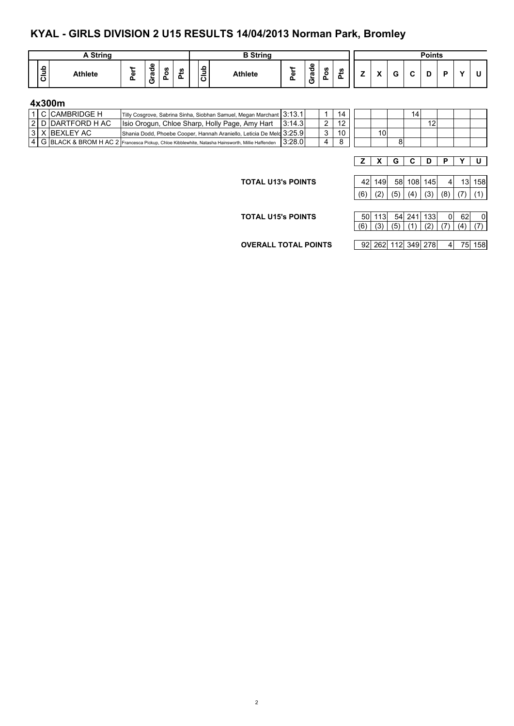### **KYAL - GIRLS DIVISION 2 U15 RESULTS 14/04/2013 Norman Park, Bromley**

| <b>String</b>                      |        |                       |         |           |                     | <b>B</b> String |             |                               |                    |           |        |                                                  |   | <b>Points</b> |   |  |
|------------------------------------|--------|-----------------------|---------|-----------|---------------------|-----------------|-------------|-------------------------------|--------------------|-----------|--------|--------------------------------------------------|---|---------------|---|--|
| ≏<br>-<br><b>Athlete</b><br>-<br>ō | Φ<br>_ | o<br>℧<br>ത<br>-<br>ပ | ဖာ<br>o | ທ<br>تسعد | $\Omega$<br>Б<br>اة | <b>Athlete</b>  | $\sim$<br>ω | $\bullet$<br>▿<br>ō<br>-<br>ပ | <b>S</b><br>o<br>௨ | <b>SC</b> | -<br>- | $\ddot{\phantom{0}}$<br>$\overline{\phantom{a}}$ | ~ | r             | ю |  |

#### **4x300m**

|  | 1 I C ICAMBRIDGE H  | Tilly Cosgrove, Sabrina Sinha, Siobhan Samuel, Megan Marchant 3:13.1                               |        |   |    |                 |  |    |  |  |
|--|---------------------|----------------------------------------------------------------------------------------------------|--------|---|----|-----------------|--|----|--|--|
|  | 2  D  DARTFORD H AC | Isio Orogun, Chloe Sharp, Holly Page, Amy Hart                                                     | 3:14.3 |   |    |                 |  | 12 |  |  |
|  | 13   X   BEXLEY AC  | Shania Dodd, Phoebe Cooper, Hannah Araniello, Leticia De Melo 3:25.9                               |        |   | 10 | 10 <sub>1</sub> |  |    |  |  |
|  |                     | 4  G BLACK & BROM H AC 2 Francesca Pickup, Chloe Kibblewhite, Natasha Hainsworth, Millie Haffenden | 3:28.0 | 4 |    |                 |  |    |  |  |

**Z X G C D P Y U**

**TOTAL U13's POINTS** 

|  | 42 149 58 108 145                  |  |  | 13 158 |
|--|------------------------------------|--|--|--------|
|  | (6) $ (2) (5) (4) (3) (8) (7) (1)$ |  |  |        |

| <b>TOTAL U15's POINTS</b> | 50 113 54 241 133                               |  | $\Omega$ | 62I |  |
|---------------------------|-------------------------------------------------|--|----------|-----|--|
|                           | $(6)   (3)   (5)   (1)   (2)   (7)   (4)   (7)$ |  |          |     |  |
|                           |                                                 |  |          |     |  |

**OVERALL TOTAL POINTS** 92 262 112 349 278 4 75 158